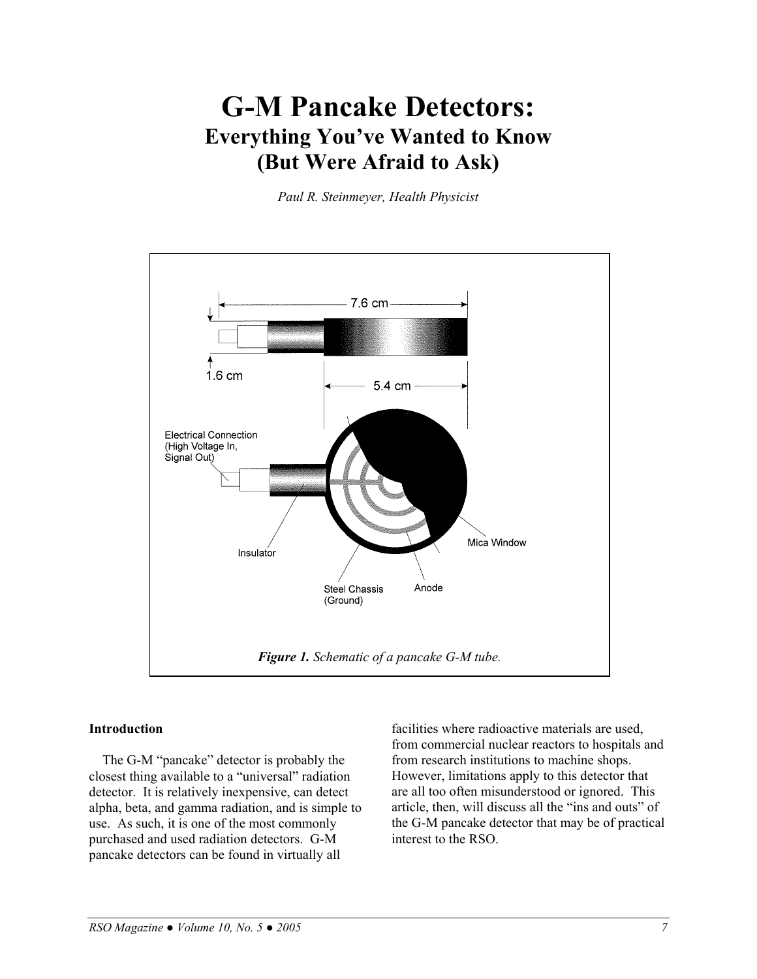# **G-M Pancake Detectors: Everything You've Wanted to Know (But Were Afraid to Ask)**

*Paul R. Steinmeyer, Health Physicist* 



#### **Introduction**

The G-M "pancake" detector is probably the closest thing available to a "universal" radiation detector. It is relatively inexpensive, can detect alpha, beta, and gamma radiation, and is simple to use. As such, it is one of the most commonly purchased and used radiation detectors. G-M pancake detectors can be found in virtually all

facilities where radioactive materials are used, from commercial nuclear reactors to hospitals and from research institutions to machine shops. However, limitations apply to this detector that are all too often misunderstood or ignored. This article, then, will discuss all the "ins and outs" of the G-M pancake detector that may be of practical interest to the RSO.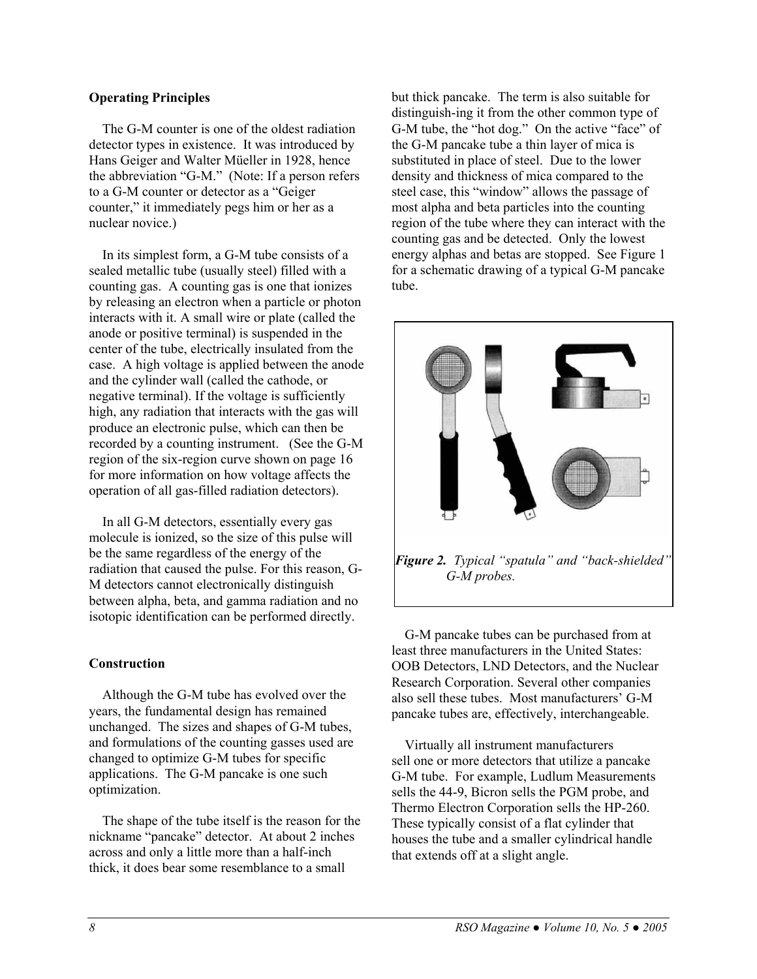#### **Operating Principles**

The G-M counter is one of the oldest radiation detector types in existence. It was introduced by Hans Geiger and Walter Müeller in 1928, hence the abbreviation "G-M." (Note: If a person refers to a G-M counter or detector as a "Geiger counter," it immediately pegs him or her as a nuclear novice.)

In its simplest form, a G-M tube consists of a sealed metallic tube (usually steel) filled with a counting gas. A counting gas is one that ionizes by releasing an electron when a particle or photon interacts with it. A small wire or plate (called the anode or positive terminal) is suspended in the center of the tube, electrically insulated from the case. A high voltage is applied between the anode and the cylinder wall (called the cathode, or negative terminal). If the voltage is sufficiently high, any radiation that interacts with the gas will produce an electronic pulse, which can then be recorded by a counting instrument. (See the G-M region of the six-region curve shown on page 16 for more information on how voltage affects the operation of all gas-filled radiation detectors).

In all G-M detectors, essentially every gas molecule is ionized, so the size of this pulse will be the same regardless of the energy of the radiation that caused the pulse. For this reason, G-M detectors cannot electronically distinguish between alpha, beta, and gamma radiation and no isotopic identification can be performed directly.

### **Construction**

Although the G-M tube has evolved over the years, the fundamental design has remained unchanged. The sizes and shapes of G-M tubes, and formulations of the counting gasses used are changed to optimize G-M tubes for specific applications. The G-M pancake is one such optimization.

The shape of the tube itself is the reason for the nickname "pancake" detector. At about 2 inches across and only a little more than a half-inch thick, it does bear some resemblance to a small

but thick pancake. The term is also suitable for distinguish-ing it from the other common type of G-M tube, the "hot dog." On the active "face" of the G-M pancake tube a thin layer of mica is substituted in place of steel. Due to the lower density and thickness of mica compared to the steel case, this "window" allows the passage of most alpha and beta particles into the counting region of the tube where they can interact with the counting gas and be detected. Only the lowest energy alphas and betas are stopped. See Figure 1 for a schematic drawing of a typical G-M pancake tube.



G-M pancake tubes can be purchased from at least three manufacturers in the United States: OOB Detectors, LND Detectors, and the Nuclear Research Corporation. Several other companies also sell these tubes. Most manufacturers' G-M pancake tubes are, effectively, interchangeable.

Virtually all instrument manufacturers sell one or more detectors that utilize a pancake G-M tube. For example, Ludlum Measurements sells the 44-9, Bicron sells the PGM probe, and Thermo Electron Corporation sells the HP-260. These typically consist of a flat cylinder that houses the tube and a smaller cylindrical handle that extends off at a slight angle.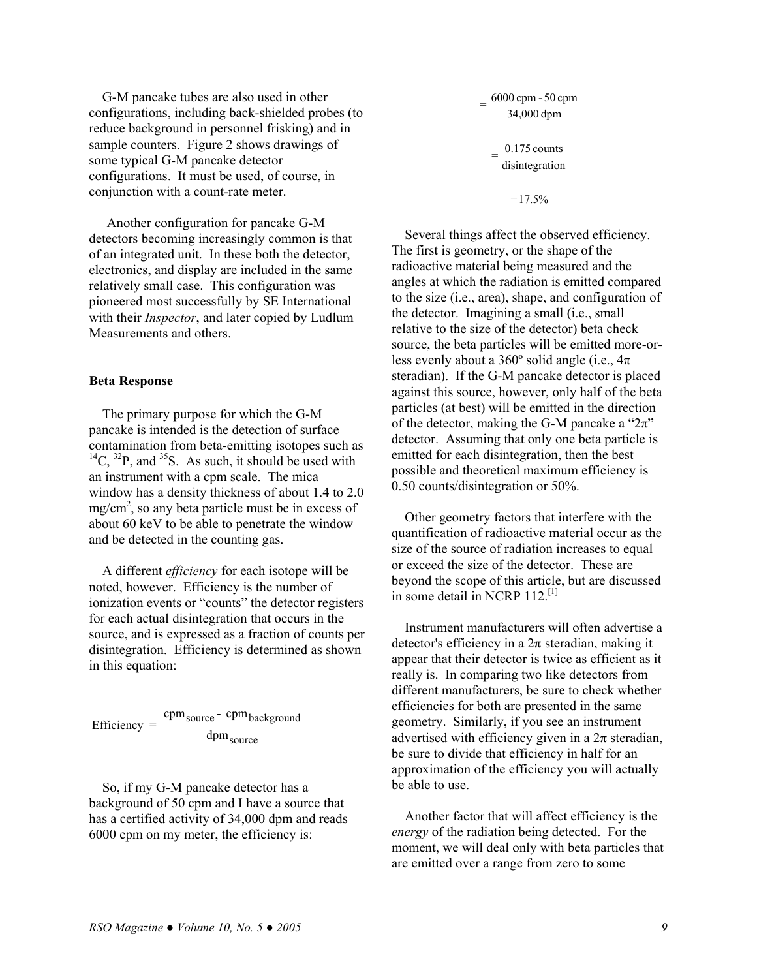G-M pancake tubes are also used in other configurations, including back-shielded probes (to reduce background in personnel frisking) and in sample counters. Figure 2 shows drawings of some typical G-M pancake detector configurations. It must be used, of course, in conjunction with a count-rate meter.  $=17.5\%$ 

Another configuration for pancake G-M detectors becoming increasingly common is that of an integrated unit. In these both the detector, electronics, and display are included in the same relatively small case. This configuration was pioneered most successfully by SE International with their *Inspector*, and later copied by Ludlum Measurements and others.

#### **Beta Response**

The primary purpose for which the G-M pancake is intended is the detection of surface contamination from beta-emitting isotopes such as  $^{14}C$ ,  $^{32}P$ , and  $^{35}S$ . As such, it should be used with an instrument with a cpm scale. The mica window has a density thickness of about 1.4 to 2.0  $mg/cm<sup>2</sup>$ , so any beta particle must be in excess of about 60 keV to be able to penetrate the window and be detected in the counting gas.

A different *efficiency* for each isotope will be noted, however. Efficiency is the number of ionization events or "counts" the detector registers for each actual disintegration that occurs in the source, and is expressed as a fraction of counts per disintegration. Efficiency is determined as shown in this equation:

$$
Efficiency = \frac{cpm_{source} - cpm_{background}}{dpm_{source}}
$$

So, if my G-M pancake detector has a background of 50 cpm and I have a source that has a certified activity of 34,000 dpm and reads 6000 cpm on my meter, the efficiency is:

disintegration  $0.175$  counts 34,000 dpm  $6000$  cpm  $-50$  cpm Several things affect the observed efficiency. The first is geometry, or the shape of the

radioactive material being measured and the angles at which the radiation is emitted compared to the size (i.e., area), shape, and configuration of the detector. Imagining a small (i.e., small relative to the size of the detector) beta check source, the beta particles will be emitted more-orless evenly about a  $360^{\circ}$  solid angle (i.e.,  $4\pi$ ) steradian). If the G-M pancake detector is placed against this source, however, only half of the beta particles (at best) will be emitted in the direction of the detector, making the G-M pancake a " $2\pi$ " detector. Assuming that only one beta particle is emitted for each disintegration, then the best possible and theoretical maximum efficiency is 0.50 counts/disintegration or 50%.

Other geometry factors that interfere with the quantification of radioactive material occur as the size of the source of radiation increases to equal or exceed the size of the detector. These are beyond the scope of this article, but are discussed in some detail in NCRP  $112$ <sup>[1]</sup>

Instrument manufacturers will often advertise a detector's efficiency in a  $2\pi$  steradian, making it appear that their detector is twice as efficient as it really is. In comparing two like detectors from different manufacturers, be sure to check whether efficiencies for both are presented in the same geometry. Similarly, if you see an instrument advertised with efficiency given in a  $2\pi$  steradian, be sure to divide that efficiency in half for an approximation of the efficiency you will actually be able to use.

Another factor that will affect efficiency is the *energy* of the radiation being detected. For the moment, we will deal only with beta particles that are emitted over a range from zero to some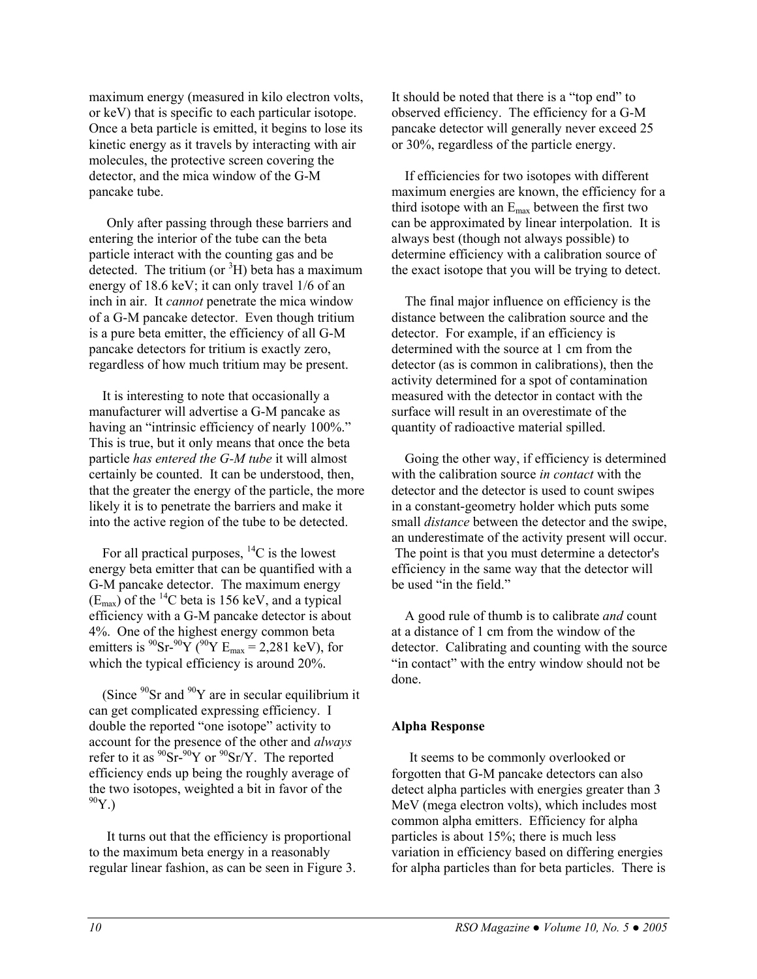maximum energy (measured in kilo electron volts, or keV) that is specific to each particular isotope. Once a beta particle is emitted, it begins to lose its kinetic energy as it travels by interacting with air molecules, the protective screen covering the detector, and the mica window of the G-M pancake tube.

Only after passing through these barriers and entering the interior of the tube can the beta particle interact with the counting gas and be detected. The tritium (or  ${}^{3}H$ ) beta has a maximum energy of 18.6 keV; it can only travel 1/6 of an inch in air. It *cannot* penetrate the mica window of a G-M pancake detector. Even though tritium is a pure beta emitter, the efficiency of all G-M pancake detectors for tritium is exactly zero, regardless of how much tritium may be present.

It is interesting to note that occasionally a manufacturer will advertise a G-M pancake as having an "intrinsic efficiency of nearly 100%." This is true, but it only means that once the beta particle *has entered the G-M tube* it will almost certainly be counted. It can be understood, then, that the greater the energy of the particle, the more likely it is to penetrate the barriers and make it into the active region of the tube to be detected.

For all practical purposes,  $^{14}C$  is the lowest energy beta emitter that can be quantified with a G-M pancake detector. The maximum energy  $(E_{\text{max}})$  of the <sup>14</sup>C beta is 156 keV, and a typical efficiency with a G-M pancake detector is about 4%. One of the highest energy common beta emitters is  ${}^{90}Sr-{}^{90}Y({}^{90}Y E_{max} = 2,281 \text{ keV})$ , for which the typical efficiency is around 20%.

(Since  $90$ Sr and  $90$ Y are in secular equilibrium it can get complicated expressing efficiency. I double the reported "one isotope" activity to account for the presence of the other and *always* refer to it as  $\mathrm{^{90}Sr}^{-90}Y$  or  $\mathrm{^{90}Sr/Y}$ . The reported efficiency ends up being the roughly average of the two isotopes, weighted a bit in favor of the  $^{90}Y.$ 

It turns out that the efficiency is proportional to the maximum beta energy in a reasonably regular linear fashion, as can be seen in Figure 3. It should be noted that there is a "top end" to observed efficiency. The efficiency for a G-M pancake detector will generally never exceed 25 or 30%, regardless of the particle energy.

If efficiencies for two isotopes with different maximum energies are known, the efficiency for a third isotope with an  $E_{\text{max}}$  between the first two can be approximated by linear interpolation. It is always best (though not always possible) to determine efficiency with a calibration source of the exact isotope that you will be trying to detect.

The final major influence on efficiency is the distance between the calibration source and the detector. For example, if an efficiency is determined with the source at 1 cm from the detector (as is common in calibrations), then the activity determined for a spot of contamination measured with the detector in contact with the surface will result in an overestimate of the quantity of radioactive material spilled.

Going the other way, if efficiency is determined with the calibration source *in contact* with the detector and the detector is used to count swipes in a constant-geometry holder which puts some small *distance* between the detector and the swipe, an underestimate of the activity present will occur. The point is that you must determine a detector's efficiency in the same way that the detector will be used "in the field."

A good rule of thumb is to calibrate *and* count at a distance of 1 cm from the window of the detector. Calibrating and counting with the source "in contact" with the entry window should not be done.

#### **Alpha Response**

It seems to be commonly overlooked or forgotten that G-M pancake detectors can also detect alpha particles with energies greater than 3 MeV (mega electron volts), which includes most common alpha emitters. Efficiency for alpha particles is about 15%; there is much less variation in efficiency based on differing energies for alpha particles than for beta particles. There is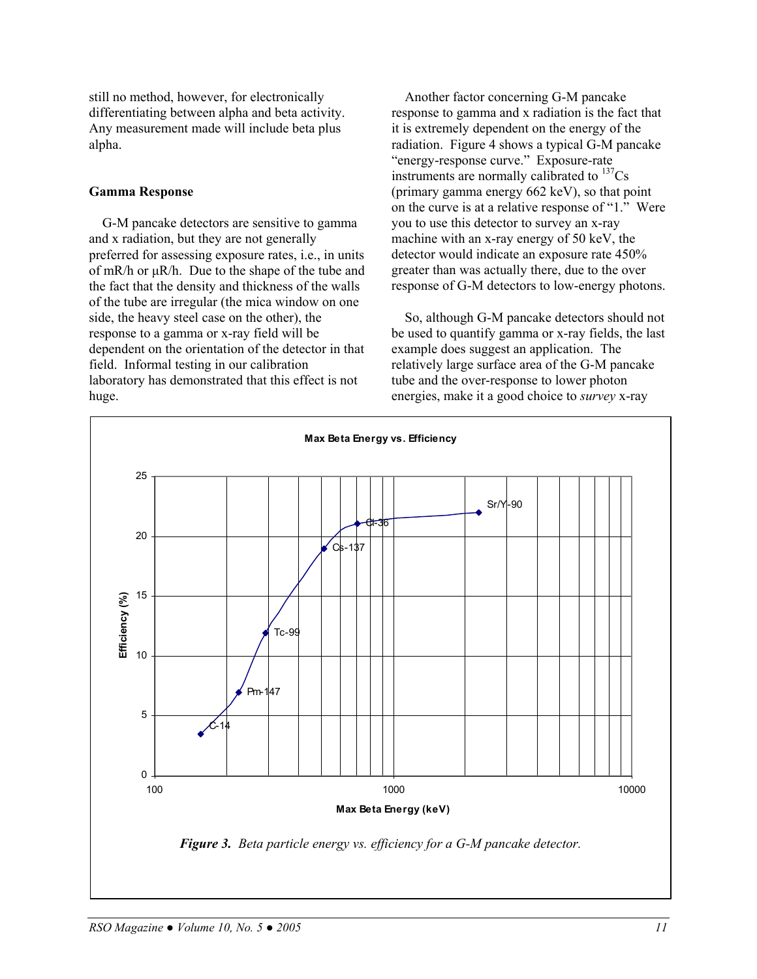still no method, however, for electronically differentiating between alpha and beta activity. Any measurement made will include beta plus alpha.

#### **Gamma Response**

G-M pancake detectors are sensitive to gamma and x radiation, but they are not generally preferred for assessing exposure rates, i.e., in units of mR/h or µR/h. Due to the shape of the tube and the fact that the density and thickness of the walls of the tube are irregular (the mica window on one side, the heavy steel case on the other), the response to a gamma or x-ray field will be dependent on the orientation of the detector in that field. Informal testing in our calibration laboratory has demonstrated that this effect is not huge.

Another factor concerning G-M pancake response to gamma and x radiation is the fact that it is extremely dependent on the energy of the radiation. Figure 4 shows a typical G-M pancake "energy-response curve." Exposure-rate instruments are normally calibrated to  $137Cs$ (primary gamma energy 662 keV), so that point on the curve is at a relative response of "1." Were you to use this detector to survey an x-ray machine with an x-ray energy of 50 keV, the detector would indicate an exposure rate 450% greater than was actually there, due to the over response of G-M detectors to low-energy photons.

So, although G-M pancake detectors should not be used to quantify gamma or x-ray fields, the last example does suggest an application. The relatively large surface area of the G-M pancake tube and the over-response to lower photon energies, make it a good choice to *survey* x-ray

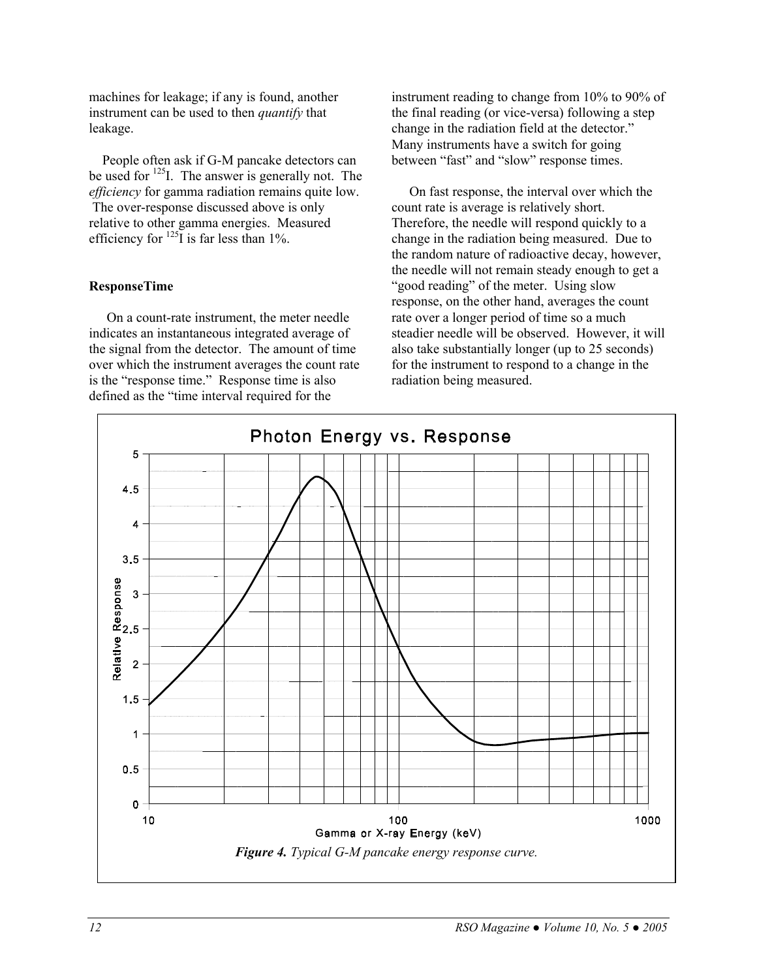machines for leakage; if any is found, another instrument can be used to then *quantify* that leakage.

People often ask if G-M pancake detectors can be used for <sup>125</sup>I. The answer is generally not. The *efficiency* for gamma radiation remains quite low. The over-response discussed above is only relative to other gamma energies. Measured efficiency for  $^{125}$ I is far less than 1%.

#### **ResponseTime**

On a count-rate instrument, the meter needle indicates an instantaneous integrated average of the signal from the detector. The amount of time over which the instrument averages the count rate is the "response time." Response time is also defined as the "time interval required for the

instrument reading to change from 10% to 90% of the final reading (or vice-versa) following a step change in the radiation field at the detector." Many instruments have a switch for going between "fast" and "slow" response times.

On fast response, the interval over which the count rate is average is relatively short. Therefore, the needle will respond quickly to a change in the radiation being measured. Due to the random nature of radioactive decay, however, the needle will not remain steady enough to get a "good reading" of the meter. Using slow response, on the other hand, averages the count rate over a longer period of time so a much steadier needle will be observed. However, it will also take substantially longer (up to 25 seconds) for the instrument to respond to a change in the radiation being measured.

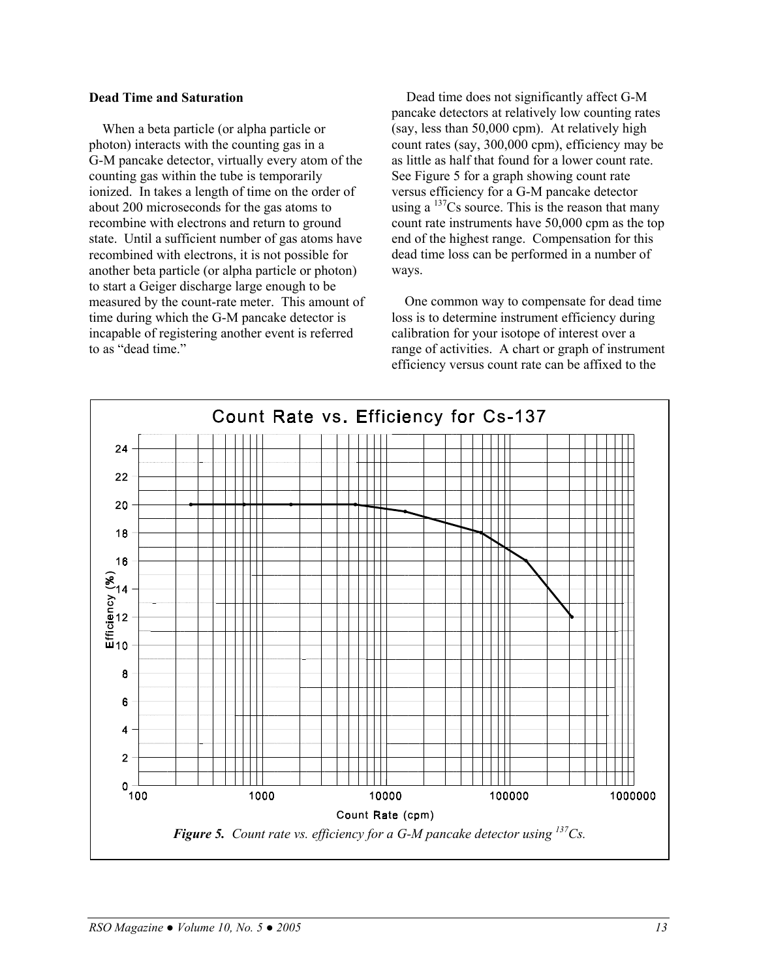#### **Dead Time and Saturation**

When a beta particle (or alpha particle or photon) interacts with the counting gas in a G-M pancake detector, virtually every atom of the counting gas within the tube is temporarily ionized. In takes a length of time on the order of about 200 microseconds for the gas atoms to recombine with electrons and return to ground state. Until a sufficient number of gas atoms have recombined with electrons, it is not possible for another beta particle (or alpha particle or photon) to start a Geiger discharge large enough to be measured by the count-rate meter. This amount of time during which the G-M pancake detector is incapable of registering another event is referred to as "dead time."

 Dead time does not significantly affect G-M pancake detectors at relatively low counting rates (say, less than 50,000 cpm). At relatively high count rates (say, 300,000 cpm), efficiency may be as little as half that found for a lower count rate. See Figure 5 for a graph showing count rate versus efficiency for a G-M pancake detector using a  $137$ Cs source. This is the reason that many count rate instruments have 50,000 cpm as the top end of the highest range. Compensation for this dead time loss can be performed in a number of ways.

One common way to compensate for dead time loss is to determine instrument efficiency during calibration for your isotope of interest over a range of activities. A chart or graph of instrument efficiency versus count rate can be affixed to the

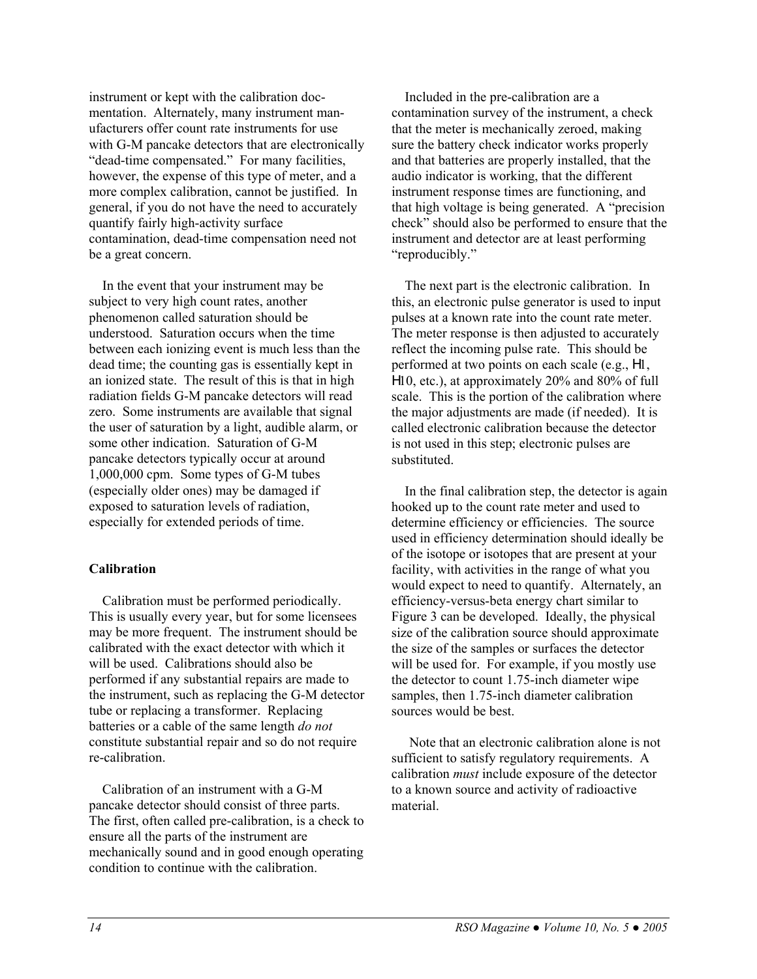instrument or kept with the calibration docmentation. Alternately, many instrument manufacturers offer count rate instruments for use with G-M pancake detectors that are electronically "dead-time compensated." For many facilities, however, the expense of this type of meter, and a more complex calibration, cannot be justified. In general, if you do not have the need to accurately quantify fairly high-activity surface contamination, dead-time compensation need not be a great concern.

In the event that your instrument may be subject to very high count rates, another phenomenon called saturation should be understood. Saturation occurs when the time between each ionizing event is much less than the dead time; the counting gas is essentially kept in an ionized state. The result of this is that in high radiation fields G-M pancake detectors will read zero. Some instruments are available that signal the user of saturation by a light, audible alarm, or some other indication. Saturation of G-M pancake detectors typically occur at around 1,000,000 cpm. Some types of G-M tubes (especially older ones) may be damaged if exposed to saturation levels of radiation, especially for extended periods of time.

#### **Calibration**

Calibration must be performed periodically. This is usually every year, but for some licensees may be more frequent. The instrument should be calibrated with the exact detector with which it will be used. Calibrations should also be performed if any substantial repairs are made to the instrument, such as replacing the G-M detector tube or replacing a transformer. Replacing batteries or a cable of the same length *do not* constitute substantial repair and so do not require re-calibration.

Calibration of an instrument with a G-M pancake detector should consist of three parts. The first, often called pre-calibration, is a check to ensure all the parts of the instrument are mechanically sound and in good enough operating condition to continue with the calibration.

Included in the pre-calibration are a contamination survey of the instrument, a check that the meter is mechanically zeroed, making sure the battery check indicator works properly and that batteries are properly installed, that the audio indicator is working, that the different instrument response times are functioning, and that high voltage is being generated. A "precision check" should also be performed to ensure that the instrument and detector are at least performing "reproducibly."

The next part is the electronic calibration. In this, an electronic pulse generator is used to input pulses at a known rate into the count rate meter. The meter response is then adjusted to accurately reflect the incoming pulse rate. This should be performed at two points on each scale (e.g., H1, H10, etc.), at approximately 20% and 80% of full scale. This is the portion of the calibration where the major adjustments are made (if needed). It is called electronic calibration because the detector is not used in this step; electronic pulses are substituted.

In the final calibration step, the detector is again hooked up to the count rate meter and used to determine efficiency or efficiencies. The source used in efficiency determination should ideally be of the isotope or isotopes that are present at your facility, with activities in the range of what you would expect to need to quantify. Alternately, an efficiency-versus-beta energy chart similar to Figure 3 can be developed. Ideally, the physical size of the calibration source should approximate the size of the samples or surfaces the detector will be used for. For example, if you mostly use the detector to count 1.75-inch diameter wipe samples, then 1.75-inch diameter calibration sources would be best.

Note that an electronic calibration alone is not sufficient to satisfy regulatory requirements. A calibration *must* include exposure of the detector to a known source and activity of radioactive material.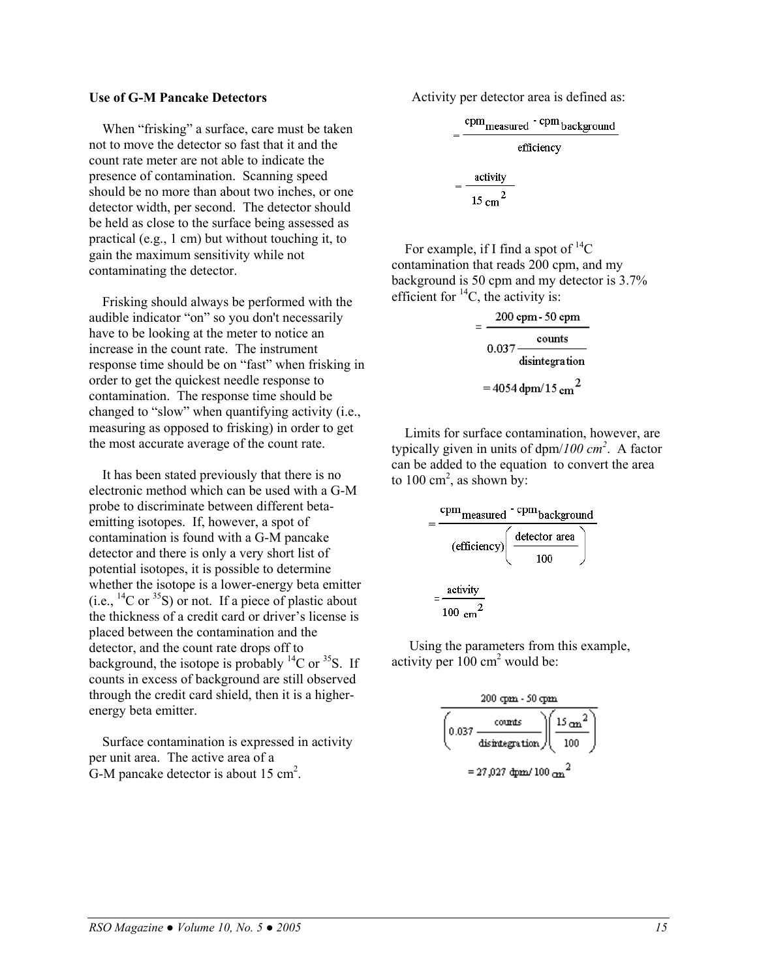When "frisking" a surface, care must be taken not to move the detector so fast that it and the count rate meter are not able to indicate the presence of contamination. Scanning speed should be no more than about two inches, or one detector width, per second. The detector should be held as close to the surface being assessed as practical (e.g., 1 cm) but without touching it, to gain the maximum sensitivity while not contaminating the detector.

Frisking should always be performed with the  $\cdot$  efficient for  ${}^{14}C$ , the activity is: audible indicator "on" so you don't necessarily have to be looking at the meter to notice an increase in the count rate. The instrument response time should be on "fast" when frisking in order to get the quickest needle response to contamination. The response time should be changed to "slow" when quantifying activity (i.e., measuring as opposed to frisking) in order to get the most accurate average of the count rate.

It has been stated previously that there is no electronic method which can be used with a G-M probe to discriminate between different betaemitting isotopes. If, however, a spot of contamination is found with a G-M pancake detector and there is only a very short list of potential isotopes, it is possible to determine whether the isotope is a lower-energy beta emitter (i.e.,  $^{14}$ C or  $^{35}$ S) or not. If a piece of plastic about the thickness of a credit card or driver's license is placed between the contamination and the detector, and the count rate drops off to background, the isotope is probably  ${}^{14}C$  or  ${}^{35}S$ . If counts in excess of background are still observed through the credit card shield, then it is a higherenergy beta emitter.

Surface contamination is expressed in activity per unit area. The active area of a G-M pancake detector is about  $15 \text{ cm}^2$ .

**Use of G-M Pancake Detectors** Activity per detector area is defined as:

$$
= \frac{\text{cpm}_{\text{measured}} \cdot \text{cpm}_{\text{background}}}{\text{efficiency}}
$$

$$
= \frac{\text{activity}}{15 \text{ cm}^2}
$$

For example, if I find a spot of  $^{14}C$ contamination that reads 200 cpm, and my background is 50 cpm and my detector is 3.7%

| 200 cpm - 50 cpm |                                 |
|------------------|---------------------------------|
| 0.037            | counts                          |
|                  | disintegration                  |
|                  | $=$ 4054 dpm/15 cm <sup>2</sup> |

Limits for surface contamination, however, are typically given in units of dpm/*100 cm<sup>2</sup>* . A factor can be added to the equation to convert the area to  $100 \text{ cm}^2$ , as shown by:

$$
= \frac{\text{cpm}_{\text{measured}} \cdot \text{cpm}_{\text{background}}}{(\text{efficiency}) \left( \frac{\text{detector area}}{100} \right)}
$$

$$
= \frac{\text{activity}}{100 \text{ cm}^2}
$$

Using the parameters from this example, activity per  $100 \text{ cm}^2$  would be:

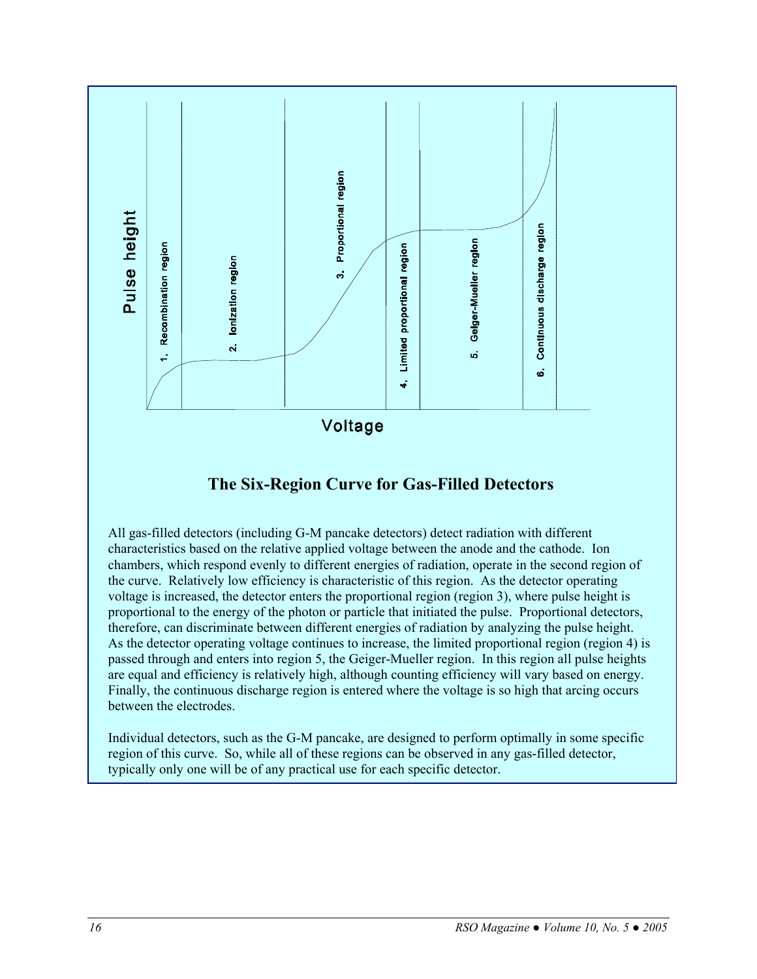

## **The Six-Region Curve for Gas-Filled Detectors**

All gas-filled detectors (including G-M pancake detectors) detect radiation with different characteristics based on the relative applied voltage between the anode and the cathode. Ion chambers, which respond evenly to different energies of radiation, operate in the second region of the curve. Relatively low efficiency is characteristic of this region. As the detector operating voltage is increased, the detector enters the proportional region (region 3), where pulse height is proportional to the energy of the photon or particle that initiated the pulse. Proportional detectors, therefore, can discriminate between different energies of radiation by analyzing the pulse height. As the detector operating voltage continues to increase, the limited proportional region (region 4) is passed through and enters into region 5, the Geiger-Mueller region. In this region all pulse heights are equal and efficiency is relatively high, although counting efficiency will vary based on energy. Finally, the continuous discharge region is entered where the voltage is so high that arcing occurs between the electrodes.

Individual detectors, such as the G-M pancake, are designed to perform optimally in some specific region of this curve. So, while all of these regions can be observed in any gas-filled detector, typically only one will be of any practical use for each specific detector.